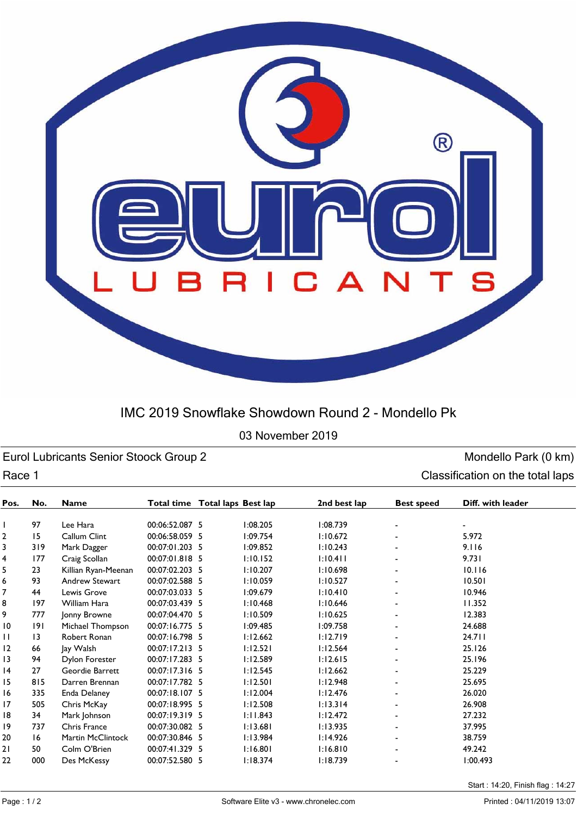

## IMC 2019 Snowflake Showdown Round 2 - Mondello Pk

03 November 2019

Eurol Lubricants Senior Stoock Group 2 and Senior Stoock Group 2 monoton control of the Mondello Park (0 km) Race 1 Classification on the total laps

| Pos. | No.             | <b>Name</b>           | Total time Total laps Best lap |          | 2nd best lap | <b>Best speed</b> | Diff. with leader |
|------|-----------------|-----------------------|--------------------------------|----------|--------------|-------------------|-------------------|
|      | 97              | Lee Hara              | 00:06:52.087 5                 | 1:08.205 | 1:08.739     |                   |                   |
| 2    | 15              | Callum Clint          | 00:06:58.059 5                 | 1:09.754 | 1:10.672     |                   | 5.972             |
| 3    | 319             | Mark Dagger           | 00:07:01.203 5                 | 1:09.852 | 1:10.243     |                   | 9.116             |
| 4    | 177             | Craig Scollan         | 00:07:01.818 5                 | 1:10.152 | 1:10.411     |                   | 9.731             |
| 5    | 23              | Killian Ryan-Meenan   | 00:07:02.203 5                 | 1:10.207 | 1:10.698     |                   | 10.116            |
| 6    | 93              | <b>Andrew Stewart</b> | 00:07:02.588 5                 | 1:10.059 | 1:10.527     |                   | 10.501            |
| 7    | 44              | Lewis Grove           | 00:07:03.033 5                 | 1:09.679 | 1:10.410     |                   | 10.946            |
| 8    | 197             | William Hara          | 00:07:03.439 5                 | 1:10.468 | 1:10.646     |                   | 11.352            |
| 9    | 777             | Jonny Browne          | 00:07:04.470 5                 | 1:10.509 | 1:10.625     |                   | 12.383            |
| 10   | 191             | Michael Thompson      | 00:07:16.775 5                 | 1:09.485 | 1:09.758     |                   | 24.688            |
| П    | $\overline{13}$ | Robert Ronan          | 00:07:16.798 5                 | 1:12.662 | 1:12.719     |                   | 24.711            |
| 12   | 66              | Jay Walsh             | 00:07:17.213 5                 | 1:12.521 | 1:12.564     |                   | 25.126            |
| 13   | 94              | <b>Dylon Forester</b> | 00:07:17.283 5                 | 1:12.589 | 1:12.615     |                   | 25.196            |
| 14   | 27              | Geordie Barrett       | 00:07:17.316 5                 | 1:12.545 | 1:12.662     |                   | 25.229            |
| 15   | 815             | Darren Brennan        | 00:07:17.782 5                 | 1:12.501 | 1:12.948     |                   | 25.695            |
| 16   | 335             | Enda Delaney          | 00:07:18.107 5                 | 1:12.004 | 1:12.476     |                   | 26.020            |
| 17   | 505             | Chris McKay           | 00:07:18.995 5                 | 1:12.508 | 1:13.314     |                   | 26.908            |
| 18   | 34              | Mark Johnson          | 00:07:19.319 5                 | 1:11.843 | 1:12.472     |                   | 27.232            |
| 19   | 737             | Chris France          | 00:07:30.082 5                 | 1:13.681 | 1:13.935     |                   | 37.995            |
| 20   | 16              | Martin McClintock     | 00:07:30.846 5                 | 1:13.984 | 1:14.926     |                   | 38.759            |
| 2١   | 50              | Colm O'Brien          | 00:07:41.329 5                 | 1:16.801 | 1:16.810     |                   | 49.242            |
| 22   | 000             | Des McKessy           | 00:07:52.580 5                 | 1:18.374 | 1:18.739     |                   | 1:00.493          |

Start : 14:20, Finish flag : 14:27